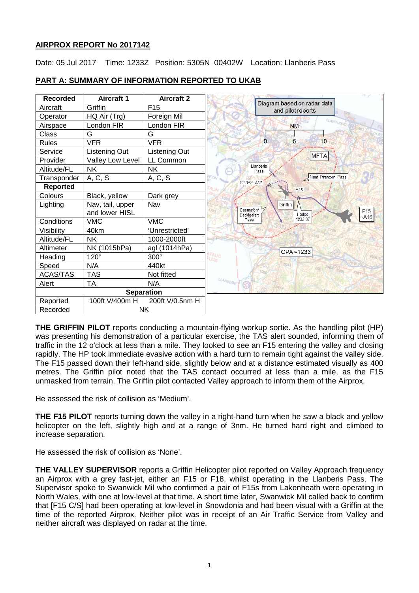## **AIRPROX REPORT No 2017142**

Date: 05 Jul 2017 Time: 1233Z Position: 5305N 00402W Location: Llanberis Pass



# **PART A: SUMMARY OF INFORMATION REPORTED TO UKAB**

**THE GRIFFIN PILOT** reports conducting a mountain-flying workup sortie. As the handling pilot (HP) was presenting his demonstration of a particular exercise, the TAS alert sounded, informing them of traffic in the 12 o'clock at less than a mile. They looked to see an F15 entering the valley and closing rapidly. The HP took immediate evasive action with a hard turn to remain tight against the valley side. The F15 passed down their left-hand side, slightly below and at a distance estimated visually as 400 metres. The Griffin pilot noted that the TAS contact occurred at less than a mile, as the F15 unmasked from terrain. The Griffin pilot contacted Valley approach to inform them of the Airprox.

He assessed the risk of collision as 'Medium'.

**THE F15 PILOT** reports turning down the valley in a right-hand turn when he saw a black and yellow helicopter on the left, slightly high and at a range of 3nm. He turned hard right and climbed to increase separation.

He assessed the risk of collision as 'None'.

**THE VALLEY SUPERVISOR** reports a Griffin Helicopter pilot reported on Valley Approach frequency an Airprox with a grey fast-jet, either an F15 or F18, whilst operating in the Llanberis Pass. The Supervisor spoke to Swanwick Mil who confirmed a pair of F15s from Lakenheath were operating in North Wales, with one at low-level at that time. A short time later, Swanwick Mil called back to confirm that [F15 C/S] had been operating at low-level in Snowdonia and had been visual with a Griffin at the time of the reported Airprox. Neither pilot was in receipt of an Air Traffic Service from Valley and neither aircraft was displayed on radar at the time.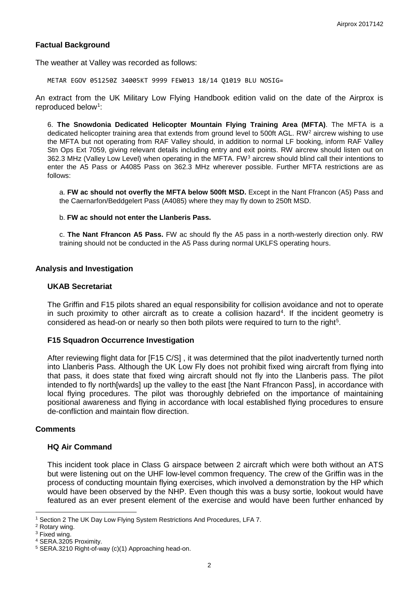### **Factual Background**

The weather at Valley was recorded as follows:

METAR EGOV 051250Z 34005KT 9999 FEW013 18/14 Q1019 BLU NOSIG=

An extract from the UK Military Low Flying Handbook edition valid on the date of the Airprox is reproduced below<sup>[1](#page-1-0)</sup>:

6. **The Snowdonia Dedicated Helicopter Mountain Flying Training Area (MFTA)**. The MFTA is a dedicated helicopter training area that extends from ground level to 500ft AGL. RW<sup>[2](#page-1-1)</sup> aircrew wishing to use the MFTA but not operating from RAF Valley should, in addition to normal LF booking, inform RAF Valley Stn Ops Ext 7059, giving relevant details including entry and exit points. RW aircrew should listen out on [3](#page-1-2)62.3 MHz (Valley Low Level) when operating in the MFTA. FW<sup>3</sup> aircrew should blind call their intentions to enter the A5 Pass or A4085 Pass on 362.3 MHz wherever possible. Further MFTA restrictions are as follows:

a. **FW ac should not overfly the MFTA below 500ft MSD.** Except in the Nant Ffrancon (A5) Pass and the Caernarfon/Beddgelert Pass (A4085) where they may fly down to 250ft MSD.

#### b. **FW ac should not enter the Llanberis Pass.**

c. **The Nant Ffrancon A5 Pass.** FW ac should fly the A5 pass in a north-westerly direction only. RW training should not be conducted in the A5 Pass during normal UKLFS operating hours.

#### **Analysis and Investigation**

#### **UKAB Secretariat**

The Griffin and F15 pilots shared an equal responsibility for collision avoidance and not to operate in such proximity to other aircraft as to create a collision hazard<sup>[4](#page-1-3)</sup>. If the incident geometry is considered as head-on or nearly so then both pilots were required to turn to the right<sup>[5](#page-1-4)</sup>.

#### **F15 Squadron Occurrence Investigation**

After reviewing flight data for [F15 C/S] , it was determined that the pilot inadvertently turned north into Llanberis Pass. Although the UK Low Fly does not prohibit fixed wing aircraft from flying into that pass, it does state that fixed wing aircraft should not fly into the Llanberis pass. The pilot intended to fly north[wards] up the valley to the east [the Nant Ffrancon Pass], in accordance with local flying procedures. The pilot was thoroughly debriefed on the importance of maintaining positional awareness and flying in accordance with local established flying procedures to ensure de-confliction and maintain flow direction.

#### **Comments**

#### **HQ Air Command**

This incident took place in Class G airspace between 2 aircraft which were both without an ATS but were listening out on the UHF low-level common frequency. The crew of the Griffin was in the process of conducting mountain flying exercises, which involved a demonstration by the HP which would have been observed by the NHP. Even though this was a busy sortie, lookout would have featured as an ever present element of the exercise and would have been further enhanced by

l

<sup>1</sup> Section 2 The UK Day Low Flying System Restrictions And Procedures, LFA 7.

<span id="page-1-1"></span><span id="page-1-0"></span><sup>2</sup> Rotary wing.

<span id="page-1-2"></span><sup>&</sup>lt;sup>3</sup> Fixed wing.

<span id="page-1-3"></span><sup>4</sup> SERA.3205 Proximity.

<span id="page-1-4"></span><sup>5</sup> SERA.3210 Right-of-way (c)(1) Approaching head-on.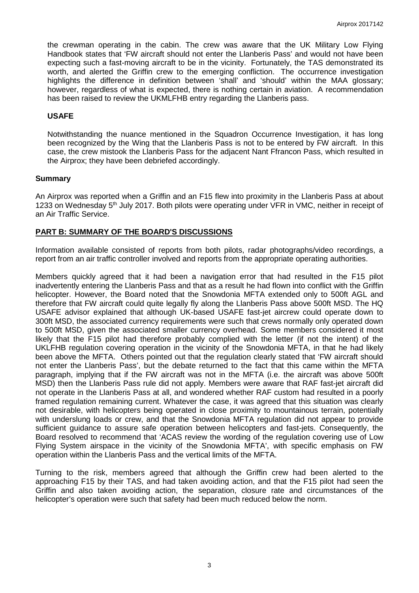the crewman operating in the cabin. The crew was aware that the UK Military Low Flying Handbook states that 'FW aircraft should not enter the Llanberis Pass' and would not have been expecting such a fast-moving aircraft to be in the vicinity. Fortunately, the TAS demonstrated its worth, and alerted the Griffin crew to the emerging confliction. The occurrence investigation highlights the difference in definition between 'shall' and 'should' within the MAA glossary; however, regardless of what is expected, there is nothing certain in aviation. A recommendation has been raised to review the UKMLFHB entry regarding the Llanberis pass.

### **USAFE**

Notwithstanding the nuance mentioned in the Squadron Occurrence Investigation, it has long been recognized by the Wing that the Llanberis Pass is not to be entered by FW aircraft. In this case, the crew mistook the Llanberis Pass for the adjacent Nant Ffrancon Pass, which resulted in the Airprox; they have been debriefed accordingly.

### **Summary**

An Airprox was reported when a Griffin and an F15 flew into proximity in the Llanberis Pass at about 1233 on Wednesday 5<sup>th</sup> July 2017. Both pilots were operating under VFR in VMC, neither in receipt of an Air Traffic Service.

### **PART B: SUMMARY OF THE BOARD'S DISCUSSIONS**

Information available consisted of reports from both pilots, radar photographs/video recordings, a report from an air traffic controller involved and reports from the appropriate operating authorities.

Members quickly agreed that it had been a navigation error that had resulted in the F15 pilot inadvertently entering the Llanberis Pass and that as a result he had flown into conflict with the Griffin helicopter. However, the Board noted that the Snowdonia MFTA extended only to 500ft AGL and therefore that FW aircraft could quite legally fly along the Llanberis Pass above 500ft MSD. The HQ USAFE advisor explained that although UK-based USAFE fast-jet aircrew could operate down to 300ft MSD, the associated currency requirements were such that crews normally only operated down to 500ft MSD, given the associated smaller currency overhead. Some members considered it most likely that the F15 pilot had therefore probably complied with the letter (if not the intent) of the UKLFHB regulation covering operation in the vicinity of the Snowdonia MFTA, in that he had likely been above the MFTA. Others pointed out that the regulation clearly stated that 'FW aircraft should not enter the Llanberis Pass', but the debate returned to the fact that this came within the MFTA paragraph, implying that if the FW aircraft was not in the MFTA (i.e. the aircraft was above 500ft MSD) then the Llanberis Pass rule did not apply. Members were aware that RAF fast-jet aircraft did not operate in the Llanberis Pass at all, and wondered whether RAF custom had resulted in a poorly framed regulation remaining current. Whatever the case, it was agreed that this situation was clearly not desirable, with helicopters being operated in close proximity to mountainous terrain, potentially with underslung loads or crew, and that the Snowdonia MFTA regulation did not appear to provide sufficient guidance to assure safe operation between helicopters and fast-jets. Consequently, the Board resolved to recommend that 'ACAS review the wording of the regulation covering use of Low Flying System airspace in the vicinity of the Snowdonia MFTA', with specific emphasis on FW operation within the Llanberis Pass and the vertical limits of the MFTA.

Turning to the risk, members agreed that although the Griffin crew had been alerted to the approaching F15 by their TAS, and had taken avoiding action, and that the F15 pilot had seen the Griffin and also taken avoiding action, the separation, closure rate and circumstances of the helicopter's operation were such that safety had been much reduced below the norm.